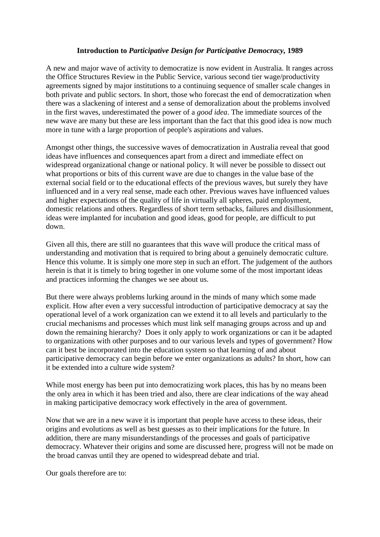### **Introduction to** *Participative Design for Participative Democracy,* **1989**

A new and major wave of activity to democratize is now evident in Australia. It ranges across the Office Structures Review in the Public Service, various second tier wage/productivity agreements signed by major institutions to a continuing sequence of smaller scale changes in both private and public sectors. In short, those who forecast the end of democratization when there was a slackening of interest and a sense of demoralization about the problems involved in the first waves, underestimated the power of a *good idea*. The immediate sources of the new wave are many but these are less important than the fact that this good idea is now much more in tune with a large proportion of people's aspirations and values.

Amongst other things, the successive waves of democratization in Australia reveal that good ideas have influences and consequences apart from a direct and immediate effect on widespread organizational change or national policy. It will never be possible to dissect out what proportions or bits of this current wave are due to changes in the value base of the external social field or to the educational effects of the previous waves, but surely they have influenced and in a very real sense, made each other. Previous waves have influenced values and higher expectations of the quality of life in virtually all spheres, paid employment, domestic relations and others. Regardless of short term setbacks, failures and disillusionment, ideas were implanted for incubation and good ideas, good for people, are difficult to put down.

Given all this, there are still no guarantees that this wave will produce the critical mass of understanding and motivation that is required to bring about a genuinely democratic culture. Hence this volume. It is simply one more step in such an effort. The judgement of the authors herein is that it is timely to bring together in one volume some of the most important ideas and practices informing the changes we see about us.

But there were always problems lurking around in the minds of many which some made explicit. How after even a very successful introduction of participative democracy at say the operational level of a work organization can we extend it to all levels and particularly to the crucial mechanisms and processes which must link self managing groups across and up and down the remaining hierarchy? Does it only apply to work organizations or can it be adapted to organizations with other purposes and to our various levels and types of government? How can it best be incorporated into the education system so that learning of and about participative democracy can begin before we enter organizations as adults? In short, how can it be extended into a culture wide system?

While most energy has been put into democratizing work places, this has by no means been the only area in which it has been tried and also, there are clear indications of the way ahead in making participative democracy work effectively in the area of government.

Now that we are in a new wave it is important that people have access to these ideas, their origins and evolutions as well as best guesses as to their implications for the future. In addition, there are many misunderstandings of the processes and goals of participative democracy. Whatever their origins and some are discussed here, progress will not be made on the broad canvas until they are opened to widespread debate and trial.

Our goals therefore are to: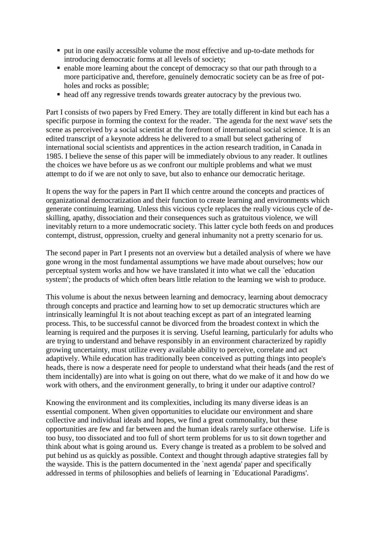- put in one easily accessible volume the most effective and up-to-date methods for introducing democratic forms at all levels of society;
- enable more learning about the concept of democracy so that our path through to a more participative and, therefore, genuinely democratic society can be as free of potholes and rocks as possible;
- head off any regressive trends towards greater autocracy by the previous two.

Part I consists of two papers by Fred Emery. They are totally different in kind but each has a specific purpose in forming the context for the reader. `The agenda for the next wave' sets the scene as perceived by a social scientist at the forefront of international social science. It is an edited transcript of a keynote address he delivered to a small but select gathering of international social scientists and apprentices in the action research tradition, in Canada in 1985. I believe the sense of this paper will be immediately obvious to any reader. It outlines the choices we have before us as we confront our multiple problems and what we must attempt to do if we are not only to save, but also to enhance our democratic heritage.

It opens the way for the papers in Part II which centre around the concepts and practices of organizational democratization and their function to create learning and environments which generate continuing learning. Unless this vicious cycle replaces the really vicious cycle of deskilling, apathy, dissociation and their consequences such as gratuitous violence, we will inevitably return to a more undemocratic society. This latter cycle both feeds on and produces contempt, distrust, oppression, cruelty and general inhumanity not a pretty scenario for us.

The second paper in Part I presents not an overview but a detailed analysis of where we have gone wrong in the most fundamental assumptions we have made about ourselves; how our perceptual system works and how we have translated it into what we call the `education system'; the products of which often bears little relation to the learning we wish to produce.

This volume is about the nexus between learning and democracy, learning about democracy through concepts and practice and learning how to set up democratic structures which are intrinsically learningful It is not about teaching except as part of an integrated learning process. This, to be successful cannot be divorced from the broadest context in which the learning is required and the purposes it is serving. Useful learning, particularly for adults who are trying to understand and behave responsibly in an environment characterized by rapidly growing uncertainty, must utilize every available ability to perceive, correlate and act adaptively. While education has traditionally been conceived as putting things into people's heads, there is now a desperate need for people to understand what their heads (and the rest of them incidentally) are into what is going on out there, what do we make of it and how do we work with others, and the environment generally, to bring it under our adaptive control?

Knowing the environment and its complexities, including its many diverse ideas is an essential component. When given opportunities to elucidate our environment and share collective and individual ideals and hopes, we find a great commonality, but these opportunities are few and far between and the human ideals rarely surface otherwise. Life is too busy, too dissociated and too full of short term problems for us to sit down together and think about what is going around us. Every change is treated as a problem to be solved and put behind us as quickly as possible. Context and thought through adaptive strategies fall by the wayside. This is the pattern documented in the `next agenda' paper and specifically addressed in terms of philosophies and beliefs of learning in `Educational Paradigms'.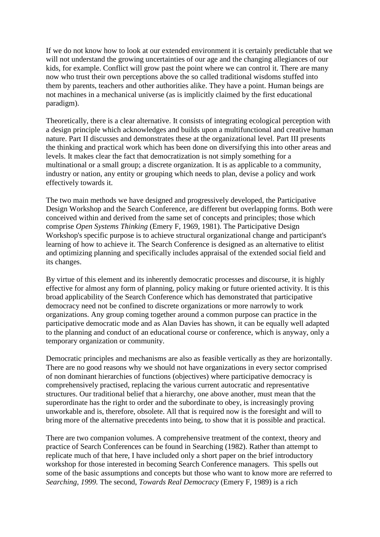If we do not know how to look at our extended environment it is certainly predictable that we will not understand the growing uncertainties of our age and the changing allegiances of our kids, for example. Conflict will grow past the point where we can control it. There are many now who trust their own perceptions above the so called traditional wisdoms stuffed into them by parents, teachers and other authorities alike. They have a point. Human beings are not machines in a mechanical universe (as is implicitly claimed by the first educational paradigm).

Theoretically, there is a clear alternative. It consists of integrating ecological perception with a design principle which acknowledges and builds upon a multifunctional and creative human nature. Part II discusses and demonstrates these at the organizational level. Part III presents the thinking and practical work which has been done on diversifying this into other areas and levels. It makes clear the fact that democratization is not simply something for a multinational or a small group; a discrete organization. It is as applicable to a community, industry or nation, any entity or grouping which needs to plan, devise a policy and work effectively towards it.

The two main methods we have designed and progressively developed, the Participative Design Workshop and the Search Conference, are different but overlapping forms. Both were conceived within and derived from the same set of concepts and principles; those which comprise *Open Systems Thinking* (Emery F, 1969, 1981). The Participative Design Workshop's specific purpose is to achieve structural organizational change and participant's learning of how to achieve it. The Search Conference is designed as an alternative to elitist and optimizing planning and specifically includes appraisal of the extended social field and its changes.

By virtue of this element and its inherently democratic processes and discourse, it is highly effective for almost any form of planning, policy making or future oriented activity. It is this broad applicability of the Search Conference which has demonstrated that participative democracy need not be confined to discrete organizations or more narrowly to work organizations. Any group coming together around a common purpose can practice in the participative democratic mode and as Alan Davies has shown, it can be equally well adapted to the planning and conduct of an educational course or conference, which is anyway, only a temporary organization or community.

Democratic principles and mechanisms are also as feasible vertically as they are horizontally. There are no good reasons why we should not have organizations in every sector comprised of non dominant hierarchies of functions (objectives) where participative democracy is comprehensively practised, replacing the various current autocratic and representative structures. Our traditional belief that a hierarchy, one above another, must mean that the superordinate has the right to order and the subordinate to obey, is increasingly proving unworkable and is, therefore, obsolete. All that is required now is the foresight and will to bring more of the alternative precedents into being, to show that it is possible and practical.

There are two companion volumes. A comprehensive treatment of the context, theory and practice of Search Conferences can be found in Searching (1982). Rather than attempt to replicate much of that here, I have included only a short paper on the brief introductory workshop for those interested in becoming Search Conference managers. This spells out some of the basic assumptions and concepts but those who want to know more are referred to *Searching, 1999.* The second, *Towards Real Democracy* (Emery F, 1989) is a rich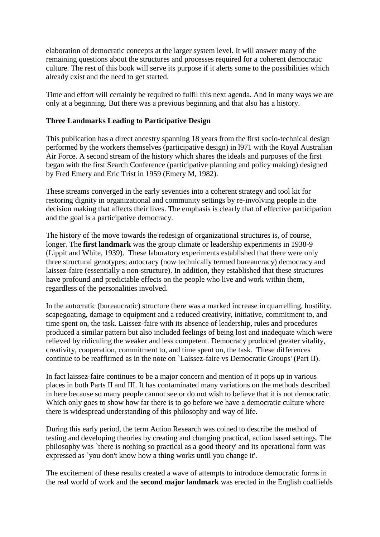elaboration of democratic concepts at the larger system level. It will answer many of the remaining questions about the structures and processes required for a coherent democratic culture. The rest of this book will serve its purpose if it alerts some to the possibilities which already exist and the need to get started.

Time and effort will certainly be required to fulfil this next agenda. And in many ways we are only at a beginning. But there was a previous beginning and that also has a history.

### **Three Landmarks Leading to Participative Design**

This publication has a direct ancestry spanning 18 years from the first socio-technical design performed by the workers themselves (participative design) in l971 with the Royal Australian Air Force. A second stream of the history which shares the ideals and purposes of the first began with the first Search Conference (participative planning and policy making) designed by Fred Emery and Eric Trist in 1959 (Emery M, 1982).

These streams converged in the early seventies into a coherent strategy and tool kit for restoring dignity in organizational and community settings by re-involving people in the decision making that affects their lives. The emphasis is clearly that of effective participation and the goal is a participative democracy.

The history of the move towards the redesign of organizational structures is, of course, longer. The **first landmark** was the group climate or leadership experiments in 1938-9 (Lippit and White, 1939). These laboratory experiments established that there were only three structural genotypes; autocracy (now technically termed bureaucracy) democracy and laissez-faire (essentially a non-structure). In addition, they established that these structures have profound and predictable effects on the people who live and work within them, regardless of the personalities involved.

In the autocratic (bureaucratic) structure there was a marked increase in quarrelling, hostility, scapegoating, damage to equipment and a reduced creativity, initiative, commitment to, and time spent on, the task. Laissez-faire with its absence of leadership, rules and procedures produced a similar pattern but also included feelings of being lost and inadequate which were relieved by ridiculing the weaker and less competent. Democracy produced greater vitality, creativity, cooperation, commitment to, and time spent on, the task. These differences continue to be reaffirmed as in the note on `Laissez-faire vs Democratic Groups' (Part II).

In fact laissez-faire continues to be a major concern and mention of it pops up in various places in both Parts II and III. It has contaminated many variations on the methods described in here because so many people cannot see or do not wish to believe that it is not democratic. Which only goes to show how far there is to go before we have a democratic culture where there is widespread understanding of this philosophy and way of life.

During this early period, the term Action Research was coined to describe the method of testing and developing theories by creating and changing practical, action based settings. The philosophy was `there is nothing so practical as a good theory' and its operational form was expressed as `you don't know how a thing works until you change it'.

The excitement of these results created a wave of attempts to introduce democratic forms in the real world of work and the **second major landmark** was erected in the English coalfields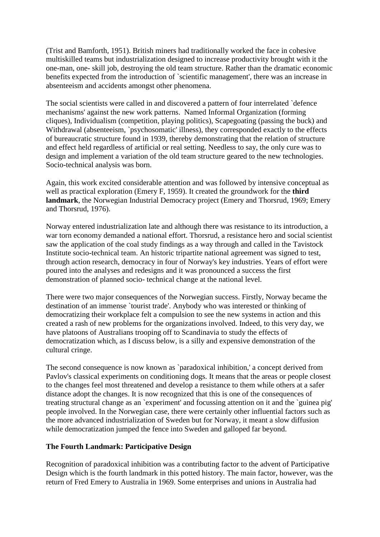(Trist and Bamforth, 1951). British miners had traditionally worked the face in cohesive multiskilled teams but industrialization designed to increase productivity brought with it the one-man, one- skill job, destroying the old team structure. Rather than the dramatic economic benefits expected from the introduction of `scientific management', there was an increase in absenteeism and accidents amongst other phenomena.

The social scientists were called in and discovered a pattern of four interrelated `defence mechanisms' against the new work patterns. Named Informal Organization (forming cliques), Individualism (competition, playing politics), Scapegoating (passing the buck) and Withdrawal (absenteeism, `psychosomatic' illness), they corresponded exactly to the effects of bureaucratic structure found in 1939, thereby demonstrating that the relation of structure and effect held regardless of artificial or real setting. Needless to say, the only cure was to design and implement a variation of the old team structure geared to the new technologies. Socio-technical analysis was born.

Again, this work excited considerable attention and was followed by intensive conceptual as well as practical exploration (Emery F, 1959). It created the groundwork for the **third landmark**, the Norwegian Industrial Democracy project (Emery and Thorsrud, 1969; Emery and Thorsrud, 1976).

Norway entered industrialization late and although there was resistance to its introduction, a war torn economy demanded a national effort. Thorsrud, a resistance hero and social scientist saw the application of the coal study findings as a way through and called in the Tavistock Institute socio-technical team. An historic tripartite national agreement was signed to test, through action research, democracy in four of Norway's key industries. Years of effort were poured into the analyses and redesigns and it was pronounced a success the first demonstration of planned socio- technical change at the national level.

There were two major consequences of the Norwegian success. Firstly, Norway became the destination of an immense `tourist trade'. Anybody who was interested or thinking of democratizing their workplace felt a compulsion to see the new systems in action and this created a rash of new problems for the organizations involved. Indeed, to this very day, we have platoons of Australians trooping off to Scandinavia to study the effects of democratization which, as I discuss below, is a silly and expensive demonstration of the cultural cringe.

The second consequence is now known as `paradoxical inhibition,' a concept derived from Pavlov's classical experiments on conditioning dogs. It means that the areas or people closest to the changes feel most threatened and develop a resistance to them while others at a safer distance adopt the changes. It is now recognized that this is one of the consequences of treating structural change as an `experiment' and focussing attention on it and the `guinea pig' people involved. In the Norwegian case, there were certainly other influential factors such as the more advanced industrialization of Sweden but for Norway, it meant a slow diffusion while democratization jumped the fence into Sweden and galloped far beyond.

# **The Fourth Landmark: Participative Design**

Recognition of paradoxical inhibition was a contributing factor to the advent of Participative Design which is the fourth landmark in this potted history. The main factor, however, was the return of Fred Emery to Australia in 1969. Some enterprises and unions in Australia had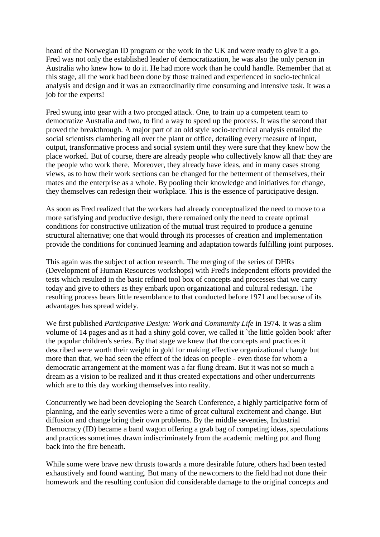heard of the Norwegian ID program or the work in the UK and were ready to give it a go. Fred was not only the established leader of democratization, he was also the only person in Australia who knew how to do it. He had more work than he could handle. Remember that at this stage, all the work had been done by those trained and experienced in socio-technical analysis and design and it was an extraordinarily time consuming and intensive task. It was a job for the experts!

Fred swung into gear with a two pronged attack. One, to train up a competent team to democratize Australia and two, to find a way to speed up the process. It was the second that proved the breakthrough. A major part of an old style socio-technical analysis entailed the social scientists clambering all over the plant or office, detailing every measure of input, output, transformative process and social system until they were sure that they knew how the place worked. But of course, there are already people who collectively know all that: they are the people who work there. Moreover, they already have ideas, and in many cases strong views, as to how their work sections can be changed for the betterment of themselves, their mates and the enterprise as a whole. By pooling their knowledge and initiatives for change, they themselves can redesign their workplace. This is the essence of participative design.

As soon as Fred realized that the workers had already conceptualized the need to move to a more satisfying and productive design, there remained only the need to create optimal conditions for constructive utilization of the mutual trust required to produce a genuine structural alternative; one that would through its processes of creation and implementation provide the conditions for continued learning and adaptation towards fulfilling joint purposes.

This again was the subject of action research. The merging of the series of DHRs (Development of Human Resources workshops) with Fred's independent efforts provided the tests which resulted in the basic refined tool box of concepts and processes that we carry today and give to others as they embark upon organizational and cultural redesign. The resulting process bears little resemblance to that conducted before 1971 and because of its advantages has spread widely.

We first published *Participative Design: Work and Community Life* in 1974. It was a slim volume of 14 pages and as it had a shiny gold cover, we called it `the little golden book' after the popular children's series. By that stage we knew that the concepts and practices it described were worth their weight in gold for making effective organizational change but more than that, we had seen the effect of the ideas on people - even those for whom a democratic arrangement at the moment was a far flung dream. But it was not so much a dream as a vision to be realized and it thus created expectations and other undercurrents which are to this day working themselves into reality.

Concurrently we had been developing the Search Conference, a highly participative form of planning, and the early seventies were a time of great cultural excitement and change. But diffusion and change bring their own problems. By the middle seventies, Industrial Democracy (ID) became a band wagon offering a grab bag of competing ideas, speculations and practices sometimes drawn indiscriminately from the academic melting pot and flung back into the fire beneath.

While some were brave new thrusts towards a more desirable future, others had been tested exhaustively and found wanting. But many of the newcomers to the field had not done their homework and the resulting confusion did considerable damage to the original concepts and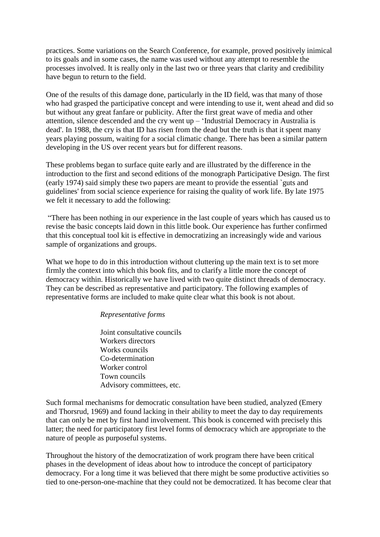practices. Some variations on the Search Conference, for example, proved positively inimical to its goals and in some cases, the name was used without any attempt to resemble the processes involved. It is really only in the last two or three years that clarity and credibility have begun to return to the field.

One of the results of this damage done, particularly in the ID field, was that many of those who had grasped the participative concept and were intending to use it, went ahead and did so but without any great fanfare or publicity. After the first great wave of media and other attention, silence descended and the cry went up – 'Industrial Democracy in Australia is dead'. In 1988, the cry is that ID has risen from the dead but the truth is that it spent many years playing possum, waiting for a social climatic change. There has been a similar pattern developing in the US over recent years but for different reasons.

These problems began to surface quite early and are illustrated by the difference in the introduction to the first and second editions of the monograph Participative Design. The first (early 1974) said simply these two papers are meant to provide the essential `guts and guidelines' from social science experience for raising the quality of work life. By late 1975 we felt it necessary to add the following:

"There has been nothing in our experience in the last couple of years which has caused us to revise the basic concepts laid down in this little book. Our experience has further confirmed that this conceptual tool kit is effective in democratizing an increasingly wide and various sample of organizations and groups.

What we hope to do in this introduction without cluttering up the main text is to set more firmly the context into which this book fits, and to clarify a little more the concept of democracy within. Historically we have lived with two quite distinct threads of democracy. They can be described as representative and participatory. The following examples of representative forms are included to make quite clear what this book is not about.

#### *Representative forms*

Joint consultative councils Workers directors Works councils Co-determination Worker control Town councils Advisory committees, etc.

Such formal mechanisms for democratic consultation have been studied, analyzed (Emery and Thorsrud, 1969) and found lacking in their ability to meet the day to day requirements that can only be met by first hand involvement. This book is concerned with precisely this latter; the need for participatory first level forms of democracy which are appropriate to the nature of people as purposeful systems.

Throughout the history of the democratization of work program there have been critical phases in the development of ideas about how to introduce the concept of participatory democracy. For a long time it was believed that there might be some productive activities so tied to one-person-one-machine that they could not be democratized. It has become clear that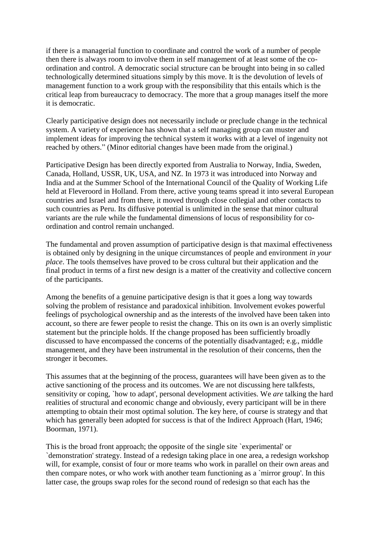if there is a managerial function to coordinate and control the work of a number of people then there is always room to involve them in self management of at least some of the coordination and control. A democratic social structure can be brought into being in so called technologically determined situations simply by this move. It is the devolution of levels of management function to a work group with the responsibility that this entails which is the critical leap from bureaucracy to democracy. The more that a group manages itself the more it is democratic.

Clearly participative design does not necessarily include or preclude change in the technical system. A variety of experience has shown that a self managing group can muster and implement ideas for improving the technical system it works with at a level of ingenuity not reached by others." (Minor editorial changes have been made from the original.)

Participative Design has been directly exported from Australia to Norway, India, Sweden, Canada, Holland, USSR, UK, USA, and NZ. In 1973 it was introduced into Norway and India and at the Summer School of the International Council of the Quality of Working Life held at Fleveroord in Holland. From there, active young teams spread it into several European countries and Israel and from there, it moved through close collegial and other contacts to such countries as Peru. Its diffusive potential is unlimited in the sense that minor cultural variants are the rule while the fundamental dimensions of locus of responsibility for coordination and control remain unchanged.

The fundamental and proven assumption of participative design is that maximal effectiveness is obtained only by designing in the unique circumstances of people and environment *in your place*. The tools themselves have proved to be cross cultural but their application and the final product in terms of a first new design is a matter of the creativity and collective concern of the participants.

Among the benefits of a genuine participative design is that it goes a long way towards solving the problem of resistance and paradoxical inhibition. Involvement evokes powerful feelings of psychological ownership and as the interests of the involved have been taken into account, so there are fewer people to resist the change. This on its own is an overly simplistic statement but the principle holds. If the change proposed has been sufficiently broadly discussed to have encompassed the concerns of the potentially disadvantaged; e.g., middle management, and they have been instrumental in the resolution of their concerns, then the stronger it becomes.

This assumes that at the beginning of the process, guarantees will have been given as to the active sanctioning of the process and its outcomes. We are not discussing here talkfests, sensitivity or coping, `how to adapt', personal development activities. We *are* talking the hard realities of structural and economic change and obviously, every participant will be in there attempting to obtain their most optimal solution. The key here, of course is strategy and that which has generally been adopted for success is that of the Indirect Approach (Hart, 1946; Boorman, 1971).

This is the broad front approach; the opposite of the single site `experimental' or `demonstration' strategy. Instead of a redesign taking place in one area, a redesign workshop will, for example, consist of four or more teams who work in parallel on their own areas and then compare notes, or who work with another team functioning as a `mirror group'. In this latter case, the groups swap roles for the second round of redesign so that each has the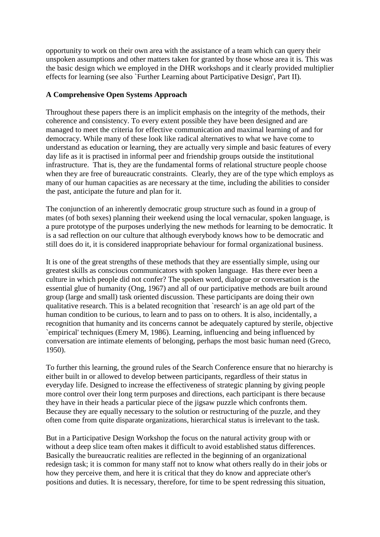opportunity to work on their own area with the assistance of a team which can query their unspoken assumptions and other matters taken for granted by those whose area it is. This was the basic design which we employed in the DHR workshops and it clearly provided multiplier effects for learning (see also `Further Learning about Participative Design', Part II).

# **A Comprehensive Open Systems Approach**

Throughout these papers there is an implicit emphasis on the integrity of the methods, their coherence and consistency. To every extent possible they have been designed and are managed to meet the criteria for effective communication and maximal learning of and for democracy. While many of these look like radical alternatives to what we have come to understand as education or learning, they are actually very simple and basic features of every day life as it is practised in informal peer and friendship groups outside the institutional infrastructure. That is, they are the fundamental forms of relational structure people choose when they are free of bureaucratic constraints. Clearly, they are of the type which employs as many of our human capacities as are necessary at the time, including the abilities to consider the past, anticipate the future and plan for it.

The conjunction of an inherently democratic group structure such as found in a group of mates (of both sexes) planning their weekend using the local vernacular, spoken language, is a pure prototype of the purposes underlying the new methods for learning to be democratic. It is a sad reflection on our culture that although everybody knows how to be democratic and still does do it, it is considered inappropriate behaviour for formal organizational business.

It is one of the great strengths of these methods that they are essentially simple, using our greatest skills as conscious communicators with spoken language. Has there ever been a culture in which people did not confer? The spoken word, dialogue or conversation is the essential glue of humanity (Ong, 1967) and all of our participative methods are built around group (large and small) task oriented discussion. These participants are doing their own qualitative research. This is a belated recognition that `research' is an age old part of the human condition to be curious, to learn and to pass on to others. It is also, incidentally, a recognition that humanity and its concerns cannot be adequately captured by sterile, objective `empirical' techniques (Emery M, 1986). Learning, influencing and being influenced by conversation are intimate elements of belonging, perhaps the most basic human need (Greco, 1950).

To further this learning, the ground rules of the Search Conference ensure that no hierarchy is either built in or allowed to develop between participants, regardless of their status in everyday life. Designed to increase the effectiveness of strategic planning by giving people more control over their long term purposes and directions, each participant is there because they have in their heads a particular piece of the jigsaw puzzle which confronts them. Because they are equally necessary to the solution or restructuring of the puzzle, and they often come from quite disparate organizations, hierarchical status is irrelevant to the task.

But in a Participative Design Workshop the focus on the natural activity group with or without a deep slice team often makes it difficult to avoid established status differences. Basically the bureaucratic realities are reflected in the beginning of an organizational redesign task; it is common for many staff not to know what others really do in their jobs or how they perceive them, and here it is critical that they do know and appreciate other's positions and duties. It is necessary, therefore, for time to be spent redressing this situation,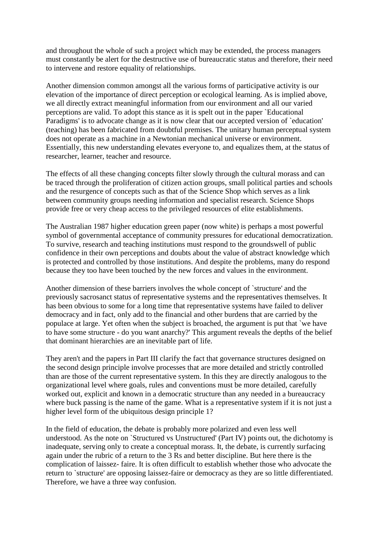and throughout the whole of such a project which may be extended, the process managers must constantly be alert for the destructive use of bureaucratic status and therefore, their need to intervene and restore equality of relationships.

Another dimension common amongst all the various forms of participative activity is our elevation of the importance of direct perception or ecological learning. As is implied above, we all directly extract meaningful information from our environment and all our varied perceptions are valid. To adopt this stance as it is spelt out in the paper `Educational Paradigms' is to advocate change as it is now clear that our accepted version of `education' (teaching) has been fabricated from doubtful premises. The unitary human perceptual system does not operate as a machine in a Newtonian mechanical universe or environment. Essentially, this new understanding elevates everyone to, and equalizes them, at the status of researcher, learner, teacher and resource.

The effects of all these changing concepts filter slowly through the cultural morass and can be traced through the proliferation of citizen action groups, small political parties and schools and the resurgence of concepts such as that of the Science Shop which serves as a link between community groups needing information and specialist research. Science Shops provide free or very cheap access to the privileged resources of elite establishments.

The Australian 1987 higher education green paper (now white) is perhaps a most powerful symbol of governmental acceptance of community pressures for educational democratization. To survive, research and teaching institutions must respond to the groundswell of public confidence in their own perceptions and doubts about the value of abstract knowledge which is protected and controlled by those institutions. And despite the problems, many do respond because they too have been touched by the new forces and values in the environment.

Another dimension of these barriers involves the whole concept of `structure' and the previously sacrosanct status of representative systems and the representatives themselves. It has been obvious to some for a long time that representative systems have failed to deliver democracy and in fact, only add to the financial and other burdens that are carried by the populace at large. Yet often when the subject is broached, the argument is put that `we have to have some structure - do you want anarchy?' This argument reveals the depths of the belief that dominant hierarchies are an inevitable part of life.

They aren't and the papers in Part III clarify the fact that governance structures designed on the second design principle involve processes that are more detailed and strictly controlled than are those of the current representative system. In this they are directly analogous to the organizational level where goals, rules and conventions must be more detailed, carefully worked out, explicit and known in a democratic structure than any needed in a bureaucracy where buck passing is the name of the game. What is a representative system if it is not just a higher level form of the ubiquitous design principle 1?

In the field of education, the debate is probably more polarized and even less well understood. As the note on `Structured vs Unstructured' (Part IV) points out, the dichotomy is inadequate, serving only to create a conceptual morass. It, the debate, is currently surfacing again under the rubric of a return to the 3 Rs and better discipline. But here there is the complication of laissez- faire. It is often difficult to establish whether those who advocate the return to `structure' are opposing laissez-faire or democracy as they are so little differentiated. Therefore, we have a three way confusion.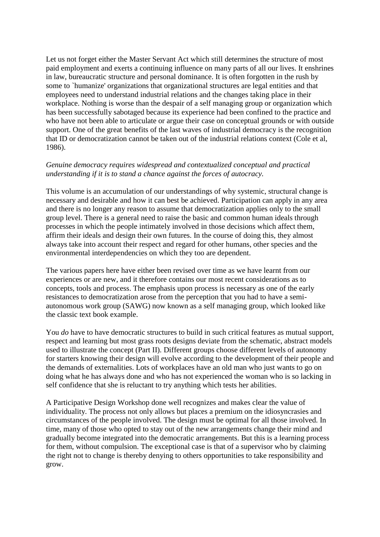Let us not forget either the Master Servant Act which still determines the structure of most paid employment and exerts a continuing influence on many parts of all our lives. It enshrines in law, bureaucratic structure and personal dominance. It is often forgotten in the rush by some to `humanize' organizations that organizational structures are legal entities and that employees need to understand industrial relations and the changes taking place in their workplace. Nothing is worse than the despair of a self managing group or organization which has been successfully sabotaged because its experience had been confined to the practice and who have not been able to articulate or argue their case on conceptual grounds or with outside support. One of the great benefits of the last waves of industrial democracy is the recognition that ID or democratization cannot be taken out of the industrial relations context (Cole et al, 1986).

# *Genuine democracy requires widespread and contextualized conceptual and practical understanding if it is to stand a chance against the forces of autocracy.*

This volume is an accumulation of our understandings of why systemic, structural change is necessary and desirable and how it can best be achieved. Participation can apply in any area and there is no longer any reason to assume that democratization applies only to the small group level. There is a general need to raise the basic and common human ideals through processes in which the people intimately involved in those decisions which affect them, affirm their ideals and design their own futures. In the course of doing this, they almost always take into account their respect and regard for other humans, other species and the environmental interdependencies on which they too are dependent.

The various papers here have either been revised over time as we have learnt from our experiences or are new, and it therefore contains our most recent considerations as to concepts, tools and process. The emphasis upon process is necessary as one of the early resistances to democratization arose from the perception that you had to have a semiautonomous work group (SAWG) now known as a self managing group, which looked like the classic text book example.

You *do* have to have democratic structures to build in such critical features as mutual support, respect and learning but most grass roots designs deviate from the schematic, abstract models used to illustrate the concept (Part II). Different groups choose different levels of autonomy for starters knowing their design will evolve according to the development of their people and the demands of externalities. Lots of workplaces have an old man who just wants to go on doing what he has always done and who has not experienced the woman who is so lacking in self confidence that she is reluctant to try anything which tests her abilities.

A Participative Design Workshop done well recognizes and makes clear the value of individuality. The process not only allows but places a premium on the idiosyncrasies and circumstances of the people involved. The design must be optimal for all those involved. In time, many of those who opted to stay out of the new arrangements change their mind and gradually become integrated into the democratic arrangements. But this is a learning process for them, without compulsion. The exceptional case is that of a supervisor who by claiming the right not to change is thereby denying to others opportunities to take responsibility and grow.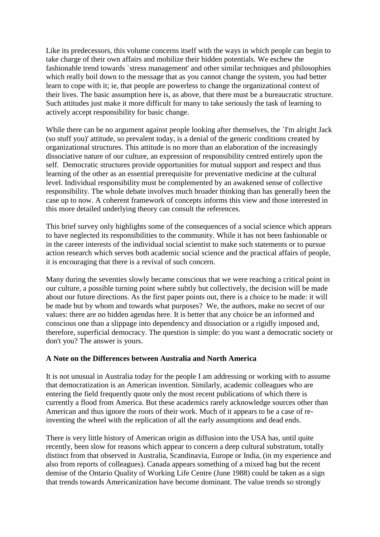Like its predecessors, this volume concerns itself with the ways in which people can begin to take charge of their own affairs and mobilize their hidden potentials. We eschew the fashionable trend towards `stress management' and other similar techniques and philosophies which really boil down to the message that as you cannot change the system, you had better learn to cope with it; ie, that people are powerless to change the organizational context of their lives. The basic assumption here is, as above, that there must be a bureaucratic structure. Such attitudes just make it more difficult for many to take seriously the task of learning to actively accept responsibility for basic change.

While there can be no argument against people looking after themselves, the 'I'm alright Jack (so stuff you)' attitude, so prevalent today, is a denial of the generic conditions created by organizational structures. This attitude is no more than an elaboration of the increasingly dissociative nature of our culture, an expression of responsibility centred entirely upon the self. Democratic structures provide opportunities for mutual support and respect and thus learning of the other as an essential prerequisite for preventative medicine at the cultural level. Individual responsibility must be complemented by an awakened sense of collective responsibility. The whole debate involves much broader thinking than has generally been the case up to now. A coherent framework of concepts informs this view and those interested in this more detailed underlying theory can consult the references.

This brief survey only highlights some of the consequences of a social science which appears to have neglected its responsibilities to the community. While it has not been fashionable or in the career interests of the individual social scientist to make such statements or to pursue action research which serves both academic social science and the practical affairs of people, it is encouraging that there is a revival of such concern.

Many during the seventies slowly became conscious that we were reaching a critical point in our culture, a possible turning point where subtly but collectively, the decision will be made about our future directions. As the first paper points out, there is a choice to be made: it will be made but by whom and towards what purposes? We, the authors, make no secret of our values: there are no hidden agendas here. It is better that any choice be an informed and conscious one than a slippage into dependency and dissociation or a rigidly imposed and, therefore, superficial democracy. The question is simple: do you want a democratic society or don't you? The answer is yours.

#### **A Note on the Differences between Australia and North America**

It is not unusual in Australia today for the people I am addressing or working with to assume that democratization is an American invention. Similarly, academic colleagues who are entering the field frequently quote only the most recent publications of which there is currently a flood from America. But these academics rarely acknowledge sources other than American and thus ignore the roots of their work. Much of it appears to be a case of reinventing the wheel with the replication of all the early assumptions and dead ends.

There is very little history of American origin as diffusion into the USA has, until quite recently, been slow for reasons which appear to concern a deep cultural substratum, totally distinct from that observed in Australia, Scandinavia, Europe or India, (in my experience and also from reports of colleagues). Canada appears something of a mixed bag but the recent demise of the Ontario Quality of Working Life Centre (June 1988) could be taken as a sign that trends towards Americanization have become dominant. The value trends so strongly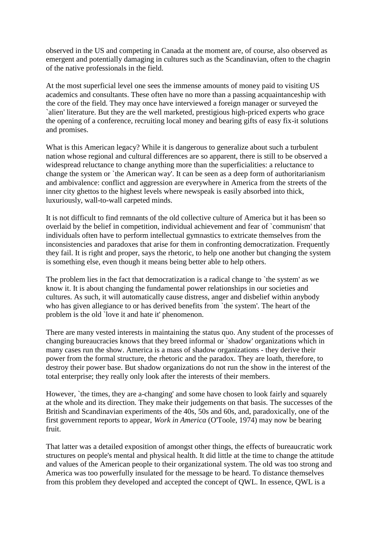observed in the US and competing in Canada at the moment are, of course, also observed as emergent and potentially damaging in cultures such as the Scandinavian, often to the chagrin of the native professionals in the field.

At the most superficial level one sees the immense amounts of money paid to visiting US academics and consultants. These often have no more than a passing acquaintanceship with the core of the field. They may once have interviewed a foreign manager or surveyed the `alien' literature. But they are the well marketed, prestigious high-priced experts who grace the opening of a conference, recruiting local money and bearing gifts of easy fix-it solutions and promises.

What is this American legacy? While it is dangerous to generalize about such a turbulent nation whose regional and cultural differences are so apparent, there is still to be observed a widespread reluctance to change anything more than the superficialities: a reluctance to change the system or `the American way'. It can be seen as a deep form of authoritarianism and ambivalence: conflict and aggression are everywhere in America from the streets of the inner city ghettos to the highest levels where newspeak is easily absorbed into thick, luxuriously, wall-to-wall carpeted minds.

It is not difficult to find remnants of the old collective culture of America but it has been so overlaid by the belief in competition, individual achievement and fear of `communism' that individuals often have to perform intellectual gymnastics to extricate themselves from the inconsistencies and paradoxes that arise for them in confronting democratization. Frequently they fail. It is right and proper, says the rhetoric, to help one another but changing the system is something else, even though it means being better able to help others.

The problem lies in the fact that democratization is a radical change to `the system' as we know it. It is about changing the fundamental power relationships in our societies and cultures. As such, it will automatically cause distress, anger and disbelief within anybody who has given allegiance to or has derived benefits from `the system'. The heart of the problem is the old `love it and hate it' phenomenon.

There are many vested interests in maintaining the status quo. Any student of the processes of changing bureaucracies knows that they breed informal or `shadow' organizations which in many cases run the show. America is a mass of shadow organizations - they derive their power from the formal structure, the rhetoric and the paradox. They are loath, therefore, to destroy their power base. But shadow organizations do not run the show in the interest of the total enterprise; they really only look after the interests of their members.

However, `the times, they are a-changing' and some have chosen to look fairly and squarely at the whole and its direction. They make their judgements on that basis. The successes of the British and Scandinavian experiments of the 40s, 50s and 60s, and, paradoxically, one of the first government reports to appear, *Work in America* (O'Toole, 1974) may now be bearing fruit.

That latter was a detailed exposition of amongst other things, the effects of bureaucratic work structures on people's mental and physical health. It did little at the time to change the attitude and values of the American people to their organizational system. The old was too strong and America was too powerfully insulated for the message to be heard. To distance themselves from this problem they developed and accepted the concept of QWL. In essence, QWL is a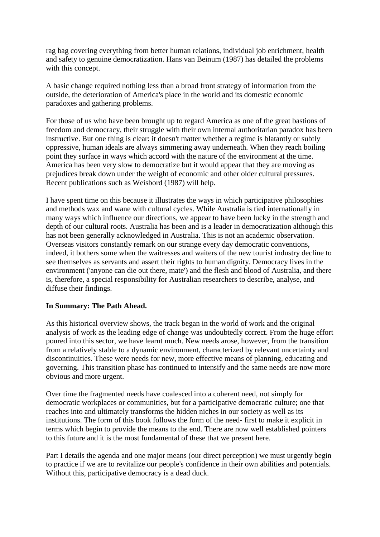rag bag covering everything from better human relations, individual job enrichment, health and safety to genuine democratization. Hans van Beinum (1987) has detailed the problems with this concept.

A basic change required nothing less than a broad front strategy of information from the outside, the deterioration of America's place in the world and its domestic economic paradoxes and gathering problems.

For those of us who have been brought up to regard America as one of the great bastions of freedom and democracy, their struggle with their own internal authoritarian paradox has been instructive. But one thing is clear: it doesn't matter whether a regime is blatantly or subtly oppressive, human ideals are always simmering away underneath. When they reach boiling point they surface in ways which accord with the nature of the environment at the time. America has been very slow to democratize but it would appear that they are moving as prejudices break down under the weight of economic and other older cultural pressures. Recent publications such as Weisbord (1987) will help.

I have spent time on this because it illustrates the ways in which participative philosophies and methods wax and wane with cultural cycles. While Australia is tied internationally in many ways which influence our directions, we appear to have been lucky in the strength and depth of our cultural roots. Australia has been and is a leader in democratization although this has not been generally acknowledged in Australia. This is not an academic observation. Overseas visitors constantly remark on our strange every day democratic conventions, indeed, it bothers some when the waitresses and waiters of the new tourist industry decline to see themselves as servants and assert their rights to human dignity. Democracy lives in the environment ('anyone can die out there, mate') and the flesh and blood of Australia, and there is, therefore, a special responsibility for Australian researchers to describe, analyse, and diffuse their findings.

#### **In Summary: The Path Ahead.**

As this historical overview shows, the track began in the world of work and the original analysis of work as the leading edge of change was undoubtedly correct. From the huge effort poured into this sector, we have learnt much. New needs arose, however, from the transition from a relatively stable to a dynamic environment, characterized by relevant uncertainty and discontinuities. These were needs for new, more effective means of planning, educating and governing. This transition phase has continued to intensify and the same needs are now more obvious and more urgent.

Over time the fragmented needs have coalesced into a coherent need, not simply for democratic workplaces or communities, but for a participative democratic culture; one that reaches into and ultimately transforms the hidden niches in our society as well as its institutions. The form of this book follows the form of the need- first to make it explicit in terms which begin to provide the means to the end. There are now well established pointers to this future and it is the most fundamental of these that we present here.

Part I details the agenda and one major means (our direct perception) we must urgently begin to practice if we are to revitalize our people's confidence in their own abilities and potentials. Without this, participative democracy is a dead duck.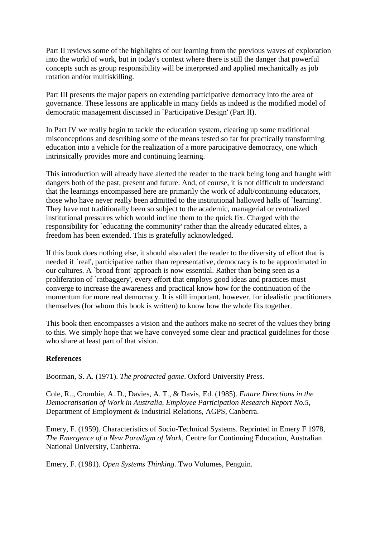Part II reviews some of the highlights of our learning from the previous waves of exploration into the world of work, but in today's context where there is still the danger that powerful concepts such as group responsibility will be interpreted and applied mechanically as job rotation and/or multiskilling.

Part III presents the major papers on extending participative democracy into the area of governance. These lessons are applicable in many fields as indeed is the modified model of democratic management discussed in `Participative Design' (Part II).

In Part IV we really begin to tackle the education system, clearing up some traditional misconceptions and describing some of the means tested so far for practically transforming education into a vehicle for the realization of a more participative democracy, one which intrinsically provides more and continuing learning.

This introduction will already have alerted the reader to the track being long and fraught with dangers both of the past, present and future. And, of course, it is not difficult to understand that the learnings encompassed here are primarily the work of adult/continuing educators, those who have never really been admitted to the institutional hallowed halls of `learning'. They have not traditionally been so subject to the academic, managerial or centralized institutional pressures which would incline them to the quick fix. Charged with the responsibility for `educating the community' rather than the already educated elites, a freedom has been extended. This is gratefully acknowledged.

If this book does nothing else, it should also alert the reader to the diversity of effort that is needed if `real', participative rather than representative, democracy is to be approximated in our cultures. A `broad front' approach is now essential. Rather than being seen as a proliferation of `ratbaggery', every effort that employs good ideas and practices must converge to increase the awareness and practical know how for the continuation of the momentum for more real democracy. It is still important, however, for idealistic practitioners themselves (for whom this book is written) to know how the whole fits together.

This book then encompasses a vision and the authors make no secret of the values they bring to this. We simply hope that we have conveyed some clear and practical guidelines for those who share at least part of that vision.

#### **References**

Boorman, S. A. (1971). *The protracted game*. Oxford University Press.

Cole, R.., Crombie, A. D., Davies, A. T., & Davis, Ed. (1985). *Future Directions in the Democratisation of Work in Australia, Employee Participation Research Report No.5,*  Department of Employment & Industrial Relations, AGPS, Canberra.

Emery, F. (1959). Characteristics of Socio-Technical Systems. Reprinted in Emery F 1978, *The Emergence of a New Paradigm of Work*, Centre for Continuing Education, Australian National University, Canberra.

Emery, F. (1981). *Open Systems Thinking*. Two Volumes, Penguin.